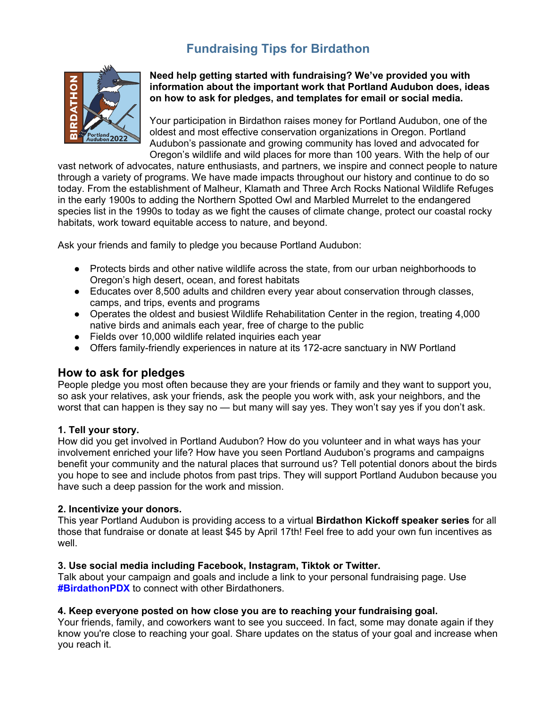# **Fundraising Tips for Birdathon**



**Need help getting started with fundraising? We've provided you with information about the important work that Portland Audubon does, ideas on how to ask for pledges, and templates for email or social media.**

Your participation in Birdathon raises money for Portland Audubon, one of the oldest and most effective conservation organizations in Oregon. Portland Audubon's passionate and growing community has loved and advocated for Oregon's wildlife and wild places for more than 100 years. With the help of our

vast network of advocates, nature enthusiasts, and partners, we inspire and connect people to nature through a variety of programs. We have made impacts throughout our history and continue to do so today. From the establishment of Malheur, Klamath and Three Arch Rocks National Wildlife Refuges in the early 1900s to adding the Northern Spotted Owl and Marbled Murrelet to the endangered species list in the 1990s to today as we fight the causes of climate change, protect our coastal rocky habitats, work toward equitable access to nature, and beyond.

Ask your friends and family to pledge you because Portland Audubon:

- Protects birds and other native wildlife across the state, from our urban neighborhoods to Oregon's high desert, ocean, and forest habitats
- Educates over 8,500 adults and children every year about conservation through classes, camps, and trips, events and programs
- Operates the oldest and busiest Wildlife Rehabilitation Center in the region, treating 4,000 native birds and animals each year, free of charge to the public
- Fields over 10,000 wildlife related inquiries each year
- Offers family-friendly experiences in nature at its 172-acre sanctuary in NW Portland

## **How to ask for pledges**

People pledge you most often because they are your friends or family and they want to support you, so ask your relatives, ask your friends, ask the people you work with, ask your neighbors, and the worst that can happen is they say no — but many will say yes. They won't say yes if you don't ask.

#### **1. Tell your story.**

How did you get involved in Portland Audubon? How do you volunteer and in what ways has your involvement enriched your life? How have you seen Portland Audubon's programs and campaigns benefit your community and the natural places that surround us? Tell potential donors about the birds you hope to see and include photos from past trips. They will support Portland Audubon because you have such a deep passion for the work and mission.

#### **2. Incentivize your donors.**

This year Portland Audubon is providing access to a virtual **Birdathon Kickoff speaker series** for all those that fundraise or donate at least \$45 by April 17th! Feel free to add your own fun incentives as well.

#### **3. Use social media including Facebook, Instagram, Tiktok or Twitter.**

Talk about your campaign and goals and include a link to your personal fundraising page. Use **#BirdathonPDX** to connect with other Birdathoners.

#### **4. Keep everyone posted on how close you are to reaching your fundraising goal.**

Your friends, family, and coworkers want to see you succeed. In fact, some may donate again if they know you're close to reaching your goal. Share updates on the status of your goal and increase when you reach it.